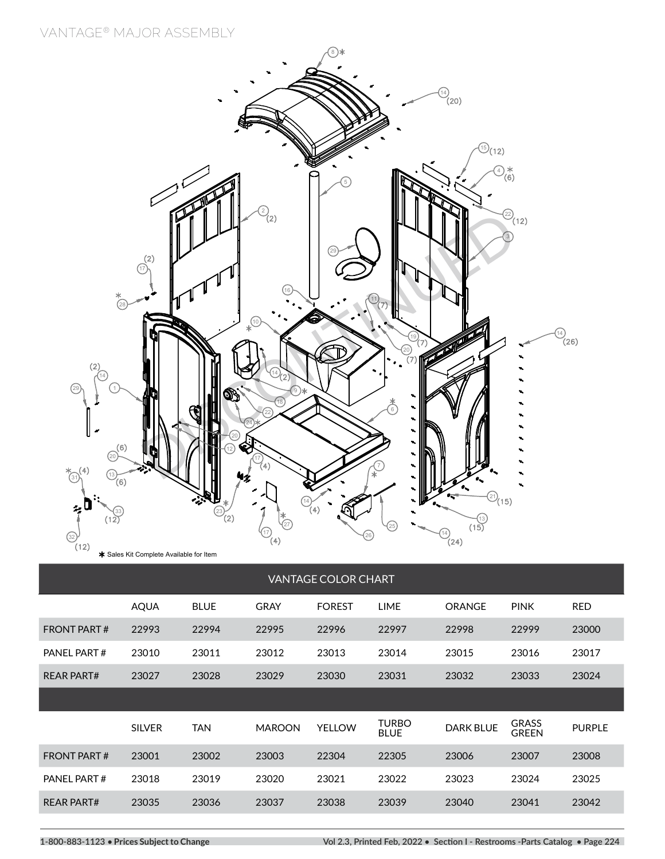**VANTAGE® MAJOR ASSEMBLY**



|                    | <b>AQUA</b>   | <b>BLUE</b> | <b>GRAY</b>   | <b>FOREST</b> | <b>LIME</b>                 | ORANGE           | <b>PINK</b>                  | <b>RED</b>    |
|--------------------|---------------|-------------|---------------|---------------|-----------------------------|------------------|------------------------------|---------------|
| <b>FRONT PART#</b> | 22993         | 22994       | 22995         | 22996         | 22997                       | 22998            | 22999                        | 23000         |
| PANEL PART#        | 23010         | 23011       | 23012         | 23013         | 23014                       | 23015            | 23016                        | 23017         |
| <b>REAR PART#</b>  | 23027         | 23028       | 23029         | 23030         | 23031                       | 23032            | 23033                        | 23024         |
|                    |               |             |               |               |                             |                  |                              |               |
|                    |               |             |               |               |                             |                  |                              |               |
|                    | <b>SILVER</b> | <b>TAN</b>  | <b>MAROON</b> | <b>YELLOW</b> | <b>TURBO</b><br><b>BLUE</b> | <b>DARK BLUE</b> | <b>GRASS</b><br><b>GREEN</b> | <b>PURPLE</b> |
| <b>FRONT PART#</b> | 23001         | 23002       | 23003         | 22304         | 22305                       | 23006            | 23007                        | 23008         |
| PANEL PART#        | 23018         | 23019       | 23020         | 23021         | 23022                       | 23023            | 23024                        | 23025         |
| <b>REAR PART#</b>  | 23035         | 23036       | 23037         | 23038         | 23039                       | 23040            | 23041                        | 23042         |